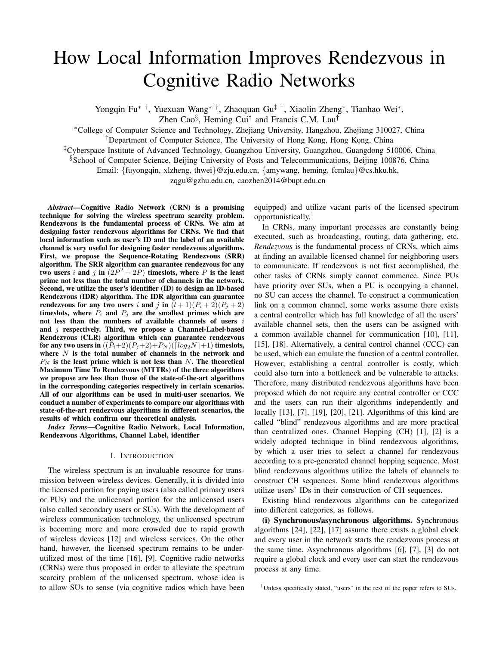# How Local Information Improves Rendezvous in Cognitive Radio Networks

Yongqin Fu*∗ †*, Yuexuan Wang*∗ †*, Zhaoquan Gu*‡ †*, Xiaolin Zheng*<sup>∗</sup>* , Tianhao Wei*<sup>∗</sup>* ,

Zhen Cao*§* , Heming Cui*†* and Francis C.M. Lau*†*

*<sup>∗</sup>*College of Computer Science and Technology, Zhejiang University, Hangzhou, Zhejiang 310027, China

*†*Department of Computer Science, The University of Hong Kong, Hong Kong, China

*‡*Cyberspace Institute of Advanced Technology, Guangzhou University, Guangzhou, Guangdong 510006, China

*§*School of Computer Science, Beijing University of Posts and Telecommunications, Beijing 100876, China

Email: *{*fuyongqin, xlzheng, thwei*}*@zju.edu.cn, *{*amywang, heming, fcmlau*}*@cs.hku.hk,

zqgu@gzhu.edu.cn, caozhen2014@bupt.edu.cn

*Abstract*—Cognitive Radio Network (CRN) is a promising technique for solving the wireless spectrum scarcity problem. Rendezvous is the fundamental process of CRNs. We aim at designing faster rendezvous algorithms for CRNs. We find that local information such as user's ID and the label of an available channel is very useful for designing faster rendezvous algorithms. First, we propose the Sequence-Rotating Rendezvous (SRR) algorithm. The SRR algorithm can guarantee rendezvous for any two users *i* and *j* in  $(2P^2 + 2P)$  timeslots, where *P* is the least prime not less than the total number of channels in the network. Second, we utilize the user's identifier (ID) to design an ID-based Rendezvous (IDR) algorithm. The IDR algorithm can guarantee rendezvous for any two users *i* and *j* in  $(l+1)(P_i+2)(P_j+2)$ timeslots, where  $P_i$  and  $P_j$  are the smallest primes which are not less than the numbers of available channels of users *i* and *j* respectively. Third, we propose a Channel-Label-based Rendezvous (CLR) algorithm which can guarantee rendezvous for any two users in  $((P_i+2)(P_j+2)+P_N)(\lceil log_2N \rceil+1)$  timeslots, where *N* is the total number of channels in the network and *P<sup>N</sup>* is the least prime which is not less than *N*. The theoretical Maximum Time To Rendezvous (MTTRs) of the three algorithms we propose are less than those of the state-of-the-art algorithms in the corresponding categories respectively in certain scenarios. All of our algorithms can be used in multi-user scenarios. We conduct a number of experiments to compare our algorithms with state-of-the-art rendezvous algorithms in different scenarios, the results of which confirm our theoretical analysis.

*Index Terms*—Cognitive Radio Network, Local Information, Rendezvous Algorithms, Channel Label, identifier

## I. INTRODUCTION

The wireless spectrum is an invaluable resource for transmission between wireless devices. Generally, it is divided into the licensed portion for paying users (also called primary users or PUs) and the unlicensed portion for the unlicensed users (also called secondary users or SUs). With the development of wireless communication technology, the unlicensed spectrum is becoming more and more crowded due to rapid growth of wireless devices [12] and wireless services. On the other hand, however, the licensed spectrum remains to be underutilized most of the time [16], [9]. Cognitive radio networks (CRNs) were thus proposed in order to alleviate the spectrum scarcity problem of the unlicensed spectrum, whose idea is to allow SUs to sense (via cognitive radios which have been

equipped) and utilize vacant parts of the licensed spectrum opportunistically.<sup>1</sup>

In CRNs, many important processes are constantly being executed, such as broadcasting, routing, data gathering, etc. *Rendezvous* is the fundamental process of CRNs, which aims at finding an available licensed channel for neighboring users to communicate. If rendezvous is not first accomplished, the other tasks of CRNs simply cannot commence. Since PUs have priority over SUs, when a PU is occupying a channel, no SU can access the channel. To construct a communication link on a common channel, some works assume there exists a central controller which has full knowledge of all the users' available channel sets, then the users can be assigned with a common available channel for communication [10], [11], [15], [18]. Alternatively, a central control channel (CCC) can be used, which can emulate the function of a central controller. However, establishing a central controller is costly, which could also turn into a bottleneck and be vulnerable to attacks. Therefore, many distributed rendezvous algorithms have been proposed which do not require any central controller or CCC and the users can run their algorithms independently and locally [13], [7], [19], [20], [21]. Algorithms of this kind are called "blind" rendezvous algorithms and are more practical than centralized ones. Channel Hopping (CH) [1], [2] is a widely adopted technique in blind rendezvous algorithms, by which a user tries to select a channel for rendezvous according to a pre-generated channel hopping sequence. Most blind rendezvous algorithms utilize the labels of channels to construct CH sequences. Some blind rendezvous algorithms utilize users' IDs in their construction of CH sequences.

Existing blind rendezvous algorithms can be categorized into different categories, as follows.

(i) Synchronous/asynchronous algorithms. Synchronous algorithms [24], [22], [17] assume there exists a global clock and every user in the network starts the rendezvous process at the same time. Asynchronous algorithms [6], [7], [3] do not require a global clock and every user can start the rendezvous process at any time.

<sup>&</sup>lt;sup>1</sup>Unless specifically stated, "users" in the rest of the paper refers to SUs.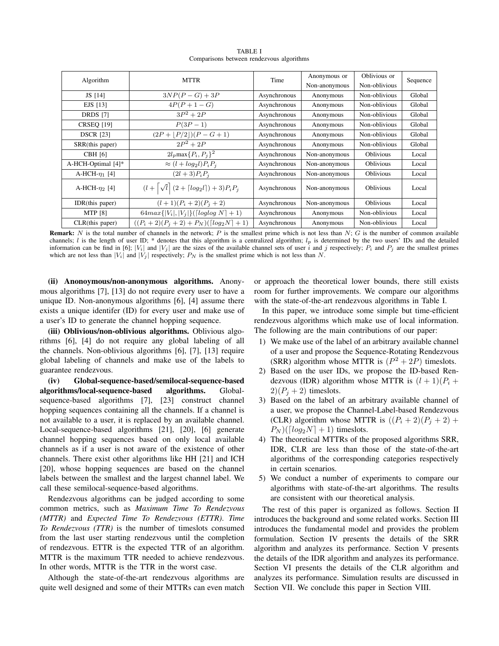| Algorithm           | <b>MTTR</b>                                                                  | Time         | Anonymous or  | Oblivious or     | Sequence |  |
|---------------------|------------------------------------------------------------------------------|--------------|---------------|------------------|----------|--|
|                     |                                                                              |              | Non-anonymous | Non-oblivious    |          |  |
| JS [14]             | $3NP(P-G) + 3P$                                                              | Asynchronous | Anonymous     | Non-oblivious    | Global   |  |
| EJS [13]            | $4P(P+1-G)$                                                                  | Asynchronous | Anonymous     | Non-oblivious    | Global   |  |
| <b>DRDS</b> [7]     | $3P^2 + 2P$                                                                  | Asynchronous | Anonymous     | Non-oblivious    | Global   |  |
| <b>CRSEQ [19]</b>   | $P(3P-1)$                                                                    | Asynchronous | Anonymous     | Non-oblivious    | Global   |  |
| <b>DSCR</b> [23]    | $(2P+ P/2 )(P-G+1)$                                                          | Asynchronous | Anonymous     | Non-oblivious    | Global   |  |
| SRR(this paper)     | $2P^2 + 2P$                                                                  | Asynchronous | Anonymous     | Non-oblivious    | Global   |  |
| <b>CBH</b> [6]      | $2l_p \max\{P_i, P_j\}^2$                                                    | Asynchronous | Non-anonymous | <b>Oblivious</b> | Local    |  |
| A-HCH-Optimal [4]*  | $\approx (l + log_2 l) P_i P_j$                                              | Asynchronous | Non-anonymous | <b>Oblivious</b> | Local    |  |
| A-HCH- $\eta_1$ [4] | $(2l + 3)P_iP_j$                                                             | Asynchronous | Non-anonymous | <b>Oblivious</b> | Local    |  |
| A-HCH- $\eta_2$ [4] | $(l + \left[\sqrt{l}\right](2 + \left\lceil log_2 l\right\rceil) + 3)P_iP_j$ | Asynchronous | Non-anonymous | <b>Oblivious</b> | Local    |  |
| IDR(this paper)     | $(l+1)(P_i+2)(P_i+2)$                                                        | Asynchronous | Non-anonymous | <b>Oblivious</b> | Local    |  |
| <b>MTP</b> [8]      | $64max\{ V_i ,  V_j \}$ ([loglog N] + 1)                                     | Asynchronous | Anonymous     | Non-oblivious    | Local    |  |
| CLR(this paper)     | $((P_i + 2)(P_j + 2) + P_N)(\lceil log_2 N \rceil + 1)$                      | Asynchronous | Anonymous     | Non-oblivious    | Local    |  |

TABLE I Comparisons between rendezvous algorithms

Remark: *N* is the total number of channels in the network; *P* is the smallest prime which is not less than *N*; *G* is the number of common available channels; *l* is the length of user ID; \* denotes that this algorithm is a centralized algorithm;  $l_p$  is determined by the two users' IDs and the detailed information can be find in [6];  $|V_i|$  and  $|V_j|$  are the sizes of the available channel sets of user i and j respectively;  $P_i$  and  $P_j$  are the smallest primes which are not less than  $|V_i|$  and  $|V_j|$  respectively;  $P_N$  is the smallest prime which is not less than N.

(ii) Anonoymous/non-anonymous algorithms. Anonymous algorithms [7], [13] do not require every user to have a unique ID. Non-anonymous algorithms [6], [4] assume there exists a unique identifer (ID) for every user and make use of a user's ID to generate the channel hopping sequence.

(iii) Oblivious/non-oblivious algorithms. Oblivious algorithms [6], [4] do not require any global labeling of all the channels. Non-oblivious algorithms [6], [7], [13] require global labeling of channels and make use of the labels to guarantee rendezvous.

(iv) Global-sequence-based/semilocal-sequence-based algorithms/local-sequence-based algorithms. Globalsequence-based algorithms [7], [23] construct channel hopping sequences containing all the channels. If a channel is not available to a user, it is replaced by an available channel. Local-sequence-based algorithms [21], [20], [6] generate channel hopping sequences based on only local available channels as if a user is not aware of the existence of other channels. There exist other algorithms like HH [21] and ICH [20], whose hopping sequences are based on the channel labels between the smallest and the largest channel label. We call these semilocal-sequence-based algorithms.

Rendezvous algorithms can be judged according to some common metrics, such as *Maximum Time To Rendezvous (MTTR)* and *Expected Time To Rendezvous (ETTR)*. *Time To Rendezvous (TTR)* is the number of timeslots consumed from the last user starting rendezvous until the completion of rendezvous. ETTR is the expected TTR of an algorithm. MTTR is the maximum TTR needed to achieve rendezvous. In other words, MTTR is the TTR in the worst case.

Although the state-of-the-art rendezvous algorithms are quite well designed and some of their MTTRs can even match

or approach the theoretical lower bounds, there still exists room for further improvements. We compare our algorithms with the state-of-the-art rendezvous algorithms in Table I.

In this paper, we introduce some simple but time-efficient rendezvous algorithms which make use of local information. The following are the main contributions of our paper:

- 1) We make use of the label of an arbitrary available channel of a user and propose the Sequence-Rotating Rendezvous (SRR) algorithm whose MTTR is  $(P^2 + 2P)$  timeslots.
- 2) Based on the user IDs, we propose the ID-based Rendezvous (IDR) algorithm whose MTTR is  $(l + 1)(P_i +$  $2(P_i + 2)$  timeslots.
- 3) Based on the label of an arbitrary available channel of a user, we propose the Channel-Label-based Rendezvous (CLR) algorithm whose MTTR is  $((P_i + 2)(P_j + 2) +$  $P_N$ )( $\lceil log_2N \rceil + 1$ ) timeslots.
- 4) The theoretical MTTRs of the proposed algorithms SRR, IDR, CLR are less than those of the state-of-the-art algorithms of the corresponding categories respectively in certain scenarios.
- 5) We conduct a number of experiments to compare our algorithms with state-of-the-art algorithms. The results are consistent with our theoretical analysis.

The rest of this paper is organized as follows. Section II introduces the background and some related works. Section III introduces the fundamental model and provides the problem formulation. Section IV presents the details of the SRR algorithm and analyzes its performance. Section V presents the details of the IDR algorithm and analyzes its performance. Section VI presents the details of the CLR algorithm and analyzes its performance. Simulation results are discussed in Section VII. We conclude this paper in Section VIII.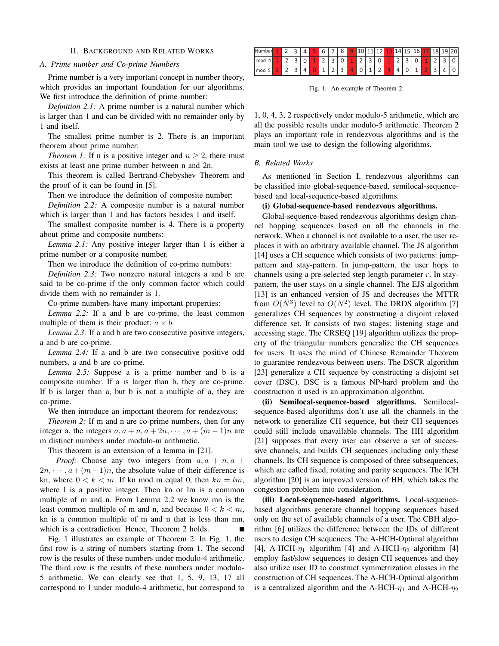## II. BACKGROUND AND RELATED WORKS

## *A. Prime number and Co-prime Numbers*

Prime number is a very important concept in number theory, which provides an important foundation for our algorithms. We first introduce the definition of prime number:

*Definition 2.1:* A prime number is a natural number which is larger than 1 and can be divided with no remainder only by 1 and itself.

The smallest prime number is 2. There is an important theorem about prime number:

*Theorem 1:* If n is a positive integer and  $n \geq 2$ , there must exists at least one prime number between n and 2n.

This theorem is called Bertrand-Chebyshev Theorem and the proof of it can be found in [5].

Then we introduce the definition of composite number:

*Definition 2.2:* A composite number is a natural number which is larger than 1 and has factors besides 1 and itself.

The smallest composite number is 4. There is a property about prime and composite numbers:

*Lemma 2.1:* Any positive integer larger than 1 is either a prime number or a composite number.

Then we introduce the definition of co-prime numbers:

*Definition 2.3:* Two nonzero natural integers a and b are said to be co-prime if the only common factor which could divide them with no remainder is 1.

Co-prime numbers have many important properties:

*Lemma 2.2:* If a and b are co-prime, the least common multiple of them is their product:  $a \times b$ .

*Lemma 2.3:* If a and b are two consecutive positive integers, a and b are co-prime.

*Lemma 2.4:* If a and b are two consecutive positive odd numbers, a and b are co-prime.

*Lemma 2.5:* Suppose a is a prime number and b is a composite number. If a is larger than b, they are co-prime. If b is larger than a, but b is not a multiple of a, they are co-prime.

We then introduce an important theorem for rendezvous:

*Theorem 2:* If m and n are co-prime numbers, then for any integer a, the integers  $a, a + n, a + 2n, \dots, a + (m - 1)n$  are m distinct numbers under modulo-m arithmetic.

This theorem is an extension of a lemma in [21].

*Proof:* Choose any two integers from  $a, a + n, a +$  $2n, \dots, a + (m-1)n$ , the absolute value of their difference is kn, where  $0 < k < m$ . If kn mod m equal 0, then  $kn = lm$ , where 1 is a positive integer. Then kn or lm is a common multiple of m and n. From Lemma 2.2 we know mn is the least common multiple of m and n, and because  $0 < k < m$ , kn is a common multiple of m and n that is less than mn, which is a contradiction. Hence, Theorem 2 holds.

Fig. 1 illustrates an example of Theorem 2. In Fig. 1, the first row is a string of numbers starting from 1. The second row is the results of these numbers under modulo-4 arithmetic. The third row is the results of these numbers under modulo-5 arithmetic. We can clearly see that 1, 5, 9, 13, 17 all correspond to 1 under modulo-4 arithmetic, but correspond to

| Number |  |   | h | 8 | ے |                          |  |   |   |  |  |
|--------|--|---|---|---|---|--------------------------|--|---|---|--|--|
| mod    |  | ◡ |   |   | - | $\overline{\phantom{a}}$ |  | ັ | - |  |  |
| mod    |  |   |   | ۔ |   |                          |  |   | œ |  |  |

Fig. 1. An example of Theorem 2.

1, 0, 4, 3, 2 respectively under modulo-5 arithmetic, which are all the possible results under modulo-5 arithmetic. Theorem 2 plays an important role in rendezvous algorithms and is the main tool we use to design the following algorithms.

## *B. Related Works*

As mentioned in Section I, rendezvous algorithms can be classified into global-sequence-based, semilocal-sequencebased and local-sequence-based algorithms.

# (i) Global-sequence-based rendezvous algorithms.

Global-sequence-based rendezvous algorithms design channel hopping sequences based on all the channels in the network. When a channel is not available to a user, the user replaces it with an arbitrary available channel. The JS algorithm [14] uses a CH sequence which consists of two patterns: jumppattern and stay-pattern. In jump-pattern, the user hops to channels using a pre-selected step length parameter *r*. In staypattern, the user stays on a single channel. The EJS algorithm [13] is an enhanced version of JS and decreases the MTTR from  $O(N^3)$  level to  $O(N^2)$  level. The DRDS algorithm [7] generalizes CH sequences by constructing a disjoint relaxed difference set. It consists of two stages: listening stage and accessing stage. The CRSEQ [19] algorithm utilizes the property of the triangular numbers generalize the CH sequences for users. It uses the mind of Chinese Remainder Theorem to guarantee rendezvous between users. The DSCR algorithm [23] generalize a CH sequence by constructing a disjoint set cover (DSC). DSC is a famous NP-hard problem and the construction it used is an approximation algorithm.

(ii) Semilocal-sequence-based algorithms. Semilocalsequence-based algorithms don't use all the channels in the network to generalize CH sequence, but their CH sequences could still include unavailable channels. The HH algorithm [21] supposes that every user can observe a set of successive channels, and builds CH sequences including only these channels. Its CH sequence is composed of three subsequences, which are called fixed, rotating and parity sequences. The ICH algorithm [20] is an improved version of HH, which takes the congestion problem into consideration.

(iii) Local-sequence-based algorithms. Local-sequencebased algorithms generate channel hopping sequences based only on the set of available channels of a user. The CBH algorithm [6] utilizes the difference between the IDs of different users to design CH sequences. The A-HCH-Optimal algorithm [4], A-HCH- $\eta_1$  algorithm [4] and A-HCH- $\eta_2$  algorithm [4] employ fast/slow sequences to design CH sequences and they also utilize user ID to construct symmetrization classes in the construction of CH sequences. The A-HCH-Optimal algorithm is a centralized algorithm and the A-HCH- $\eta_1$  and A-HCH- $\eta_2$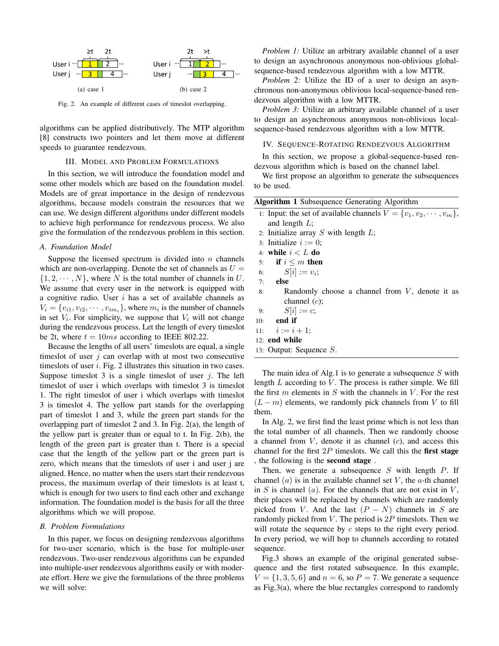

Fig. 2. An example of different cases of timeslot overlapping.

algorithms can be applied distributively. The MTP algorithm [8] constructs two pointers and let them move at different speeds to guarantee rendezvous.

# III. MODEL AND PROBLEM FORMULATIONS

In this section, we will introduce the foundation model and some other models which are based on the foundation model. Models are of great importance in the design of rendezvous algorithms, because models constrain the resources that we can use. We design different algorithms under different models to achieve high performance for rendezvous process. We also give the formulation of the rendezvous problem in this section.

### *A. Foundation Model*

Suppose the licensed spectrum is divided into *n* channels which are non-overlapping. Denote the set of channels as  $U =$  $\{1, 2, \cdots, N\}$ , where *N* is the total number of channels in *U*. We assume that every user in the network is equipped with a cognitive radio. User *i* has a set of available channels as  $V_i = \{v_{i1}, v_{i2}, \dots, v_{im_i}\}$ , where  $m_i$  is the number of channels in set  $V_i$ . For simplicity, we suppose that  $V_i$  will not change during the rendezvous process. Let the length of every timeslot be 2t, where  $t = 10ms$  according to IEEE 802.22.

Because the lengths of all users' timeslots are equal, a single timeslot of user *j* can overlap with at most two consecutive timeslots of user *i*. Fig. 2 illustrates this situation in two cases. Suppose timeslot 3 is a single timeslot of user *j*. The left timeslot of user i which overlaps with timeslot 3 is timeslot 1. The right timeslot of user i which overlaps with timeslot 3 is timeslot 4. The yellow part stands for the overlapping part of timeslot 1 and 3, while the green part stands for the overlapping part of timeslot 2 and 3. In Fig. 2(a), the length of the yellow part is greater than or equal to t. In Fig. 2(b), the length of the green part is greater than t. There is a special case that the length of the yellow part or the green part is zero, which means that the timeslots of user i and user j are aligned. Hence, no matter when the users start their rendezvous process, the maximum overlap of their timeslots is at least t, which is enough for two users to find each other and exchange information. The foundation model is the basis for all the three algorithms which we will propose.

#### *B. Problem Formulations*

In this paper, we focus on designing rendezvous algorithms for two-user scenario, which is the base for multiple-user rendezvous. Two-user rendezvous algorithms can be expanded into multiple-user rendezvous algorithms easily or with moderate effort. Here we give the formulations of the three problems we will solve:

*Problem 1:* Utilize an arbitrary available channel of a user to design an asynchronous anonymous non-oblivious globalsequence-based rendezvous algorithm with a low MTTR.

*Problem 2:* Utilize the ID of a user to design an asynchronous non-anonymous oblivious local-sequence-based rendezvous algorithm with a low MTTR.

*Problem 3:* Utilize an arbitrary available channel of a user to design an asynchronous anonymous non-oblivious localsequence-based rendezvous algorithm with a low MTTR.

# IV. SEQUENCE-ROTATING RENDEZVOUS ALGORITHM

In this section, we propose a global-sequence-based rendezvous algorithm which is based on the channel label.

We first propose an algorithm to generate the subsequences to be used.

| <b>Algorithm 1</b> Subsequence Generating Algorithm                      |
|--------------------------------------------------------------------------|
| 1: Input: the set of available channels $V = \{v_1, v_2, \dots, v_m\},\$ |
| and length $L$ ;                                                         |

- 2: Initialize array *S* with length *L*;
- 3: Initialize  $i := 0$ ;
- 4: while *i < L* do
- 5: if  $i \leq m$  then
- 6:  $S[i] := v_i;$
- 7: else
- 8: Randomly choose a channel from *V*, denote it as channel (*c*);
- 9:  $S[i] := c;$
- $10:$  end if
- 11:  $i := i + 1;$
- 12: end while
- 13: Output: Sequence *S*.

The main idea of Alg.1 is to generate a subsequence *S* with length *L* according to *V* . The process is rather simple. We fill the first *m* elements in *S* with the channels in *V* . For the rest  $(L - m)$  elements, we randomly pick channels from *V* to fill them.

In Alg. 2, we first find the least prime which is not less than the total number of all channels. Then we randomly choose a channel from *V* , denote it as channel (*c*), and access this channel for the first  $2P$  timeslots. We call this the **first stage** , the following is the second stage .

Then, we generate a subsequence *S* with length *P*. If channel  $(a)$  is in the available channel set  $V$ , the  $a$ -th channel in *S* is channel  $(a)$ . For the channels that are not exist in *V*, their places will be replaced by channels which are randomly picked from *V*. And the last  $(P - N)$  channels in *S* are randomly picked from *V* . The period is 2*P* timeslots. Then we will rotate the sequence by *c* steps to the right every period. In every period, we will hop to channels according to rotated sequence.

Fig.3 shows an example of the original generated subsequence and the first rotated subsequence. In this example,  $V = \{1, 3, 5, 6\}$  and  $n = 6$ , so  $P = 7$ . We generate a sequence as Fig.3(a), where the blue rectangles correspond to randomly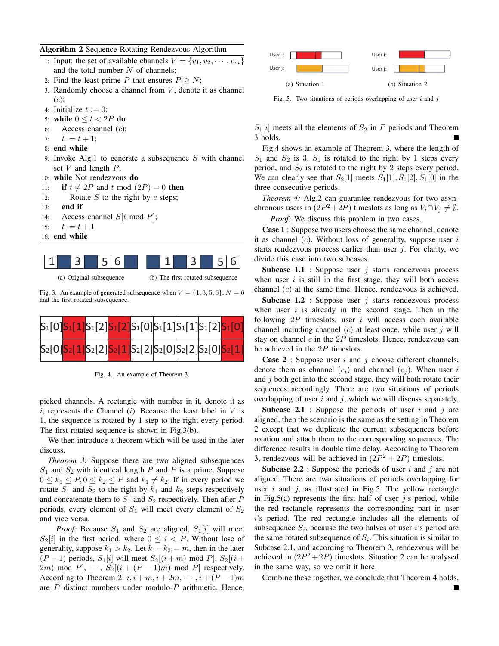# Algorithm 2 Sequence-Rotating Rendezvous Algorithm

- 1: Input: the set of available channels  $V = \{v_1, v_2, \dots, v_m\}$ and the total number *N* of channels;
- 2: Find the least prime *P* that ensures  $P \geq N$ ;
- 3: Randomly choose a channel from *V* , denote it as channel (*c*);
- 4: Initialize  $t := 0$ ;
- 5: while  $0 \le t < 2P$  do
- 6: Access channel (*c*);
- 7:  $t := t + 1;$
- 8: end while
- 9: Invoke Alg.1 to generate a subsequence *S* with channel set *V* and length *P*;
- 10: while Not rendezvous do
- 11: **if**  $t \neq 2P$  and  $t \mod (2P) = 0$  then
- 12: Rotate *S* to the right by *c* steps;
- 13: end if
- 14: Access channel *S*[*t* mod *P*];
- 15:  $t := t + 1$
- 16: end while



```
(a) Original subsequence
```
(b) The first rotated subsequence

Fig. 3. An example of generated subsequence when  $V = \{1, 3, 5, 6\}$ ,  $N = 6$ and the first rotated subsequence.



Fig. 4. An example of Theorem 3.

picked channels. A rectangle with number in it, denote it as *i*, represents the Channel (*i*). Because the least label in *V* is 1, the sequence is rotated by 1 step to the right every period. The first rotated sequence is shown in Fig.3(b).

We then introduce a theorem which will be used in the later discuss.

*Theorem 3:* Suppose there are two aligned subsequences *S*<sup>1</sup> and *S*<sup>2</sup> with identical length *P* and *P* is a prime. Suppose  $0 \leq k_1 \leq P$ ,  $0 \leq k_2 \leq P$  and  $k_1 \neq k_2$ . If in every period we rotate  $S_1$  and  $S_2$  to the right by  $k_1$  and  $k_2$  steps respectively and concatenate them to  $S_1$  and  $S_2$  respectively. Then after  $P$ periods, every element of  $S_1$  will meet every element of  $S_2$ and vice versa.

*Proof:* Because  $S_1$  and  $S_2$  are aligned,  $S_1[i]$  will meet  $S_2[i]$  in the first period, where  $0 \leq i \leq P$ . Without lose of generality, suppose  $k_1 > k_2$ . Let  $k_1 - k_2 = m$ , then in the later  $(P − 1)$  periods,  $S_1[i]$  will meet  $S_2[(i + m) \text{ mod } P]$ ,  $S_2[(i + m) \text{ mod } P]$ 2*m*) mod *P*],  $\cdots$ ,  $S_2[(i+(P-1)m) \mod P]$  respectively. According to Theorem 2,  $i, i + m, i + 2m, \dots, i + (P - 1)m$ are *P* distinct numbers under modulo-*P* arithmetic. Hence,



Fig. 5. Two situations of periods overlapping of user *i* and *j*

 $S_1[i]$  meets all the elements of  $S_2$  in *P* periods and Theorem 3 holds.

Fig.4 shows an example of Theorem 3, where the length of  $S_1$  and  $S_2$  is 3.  $S_1$  is rotated to the right by 1 steps every period, and  $S_2$  is rotated to the right by 2 steps every period. We can clearly see that  $S_2[1]$  meets  $S_1[1], S_1[2], S_1[0]$  in the three consecutive periods.

*Theorem 4:* Alg.2 can guarantee rendezvous for two asynchronous users in  $(2P^2 + 2P)$  timeslots as long as  $V_i \cap V_j \neq \emptyset$ .

*Proof:* We discuss this problem in two cases.

Case 1 : Suppose two users choose the same channel, denote it as channel (*c*). Without loss of generality, suppose user *i* starts rendezvous process earlier than user *j*. For clarity, we divide this case into two subcases.

**Subcase 1.1** : Suppose user  $j$  starts rendezvous process when user *i* is still in the first stage, they will both access channel (*c*) at the same time. Hence, rendezvous is achieved.

Subcase 1.2 : Suppose user *j* starts rendezvous process when user *i* is already in the second stage. Then in the following 2*P* timeslots, user *i* will access each available channel including channel (*c*) at least once, while user *j* will stay on channel *c* in the 2*P* timeslots. Hence, rendezvous can be achieved in the 2*P* timeslots.

Case 2 : Suppose user *i* and *j* choose different channels, denote them as channel  $(c_i)$  and channel  $(c_i)$ . When user *i* and *j* both get into the second stage, they will both rotate their sequences accordingly. There are two situations of periods overlapping of user *i* and *j*, which we will discuss separately.

Subcase 2.1 : Suppose the periods of user *i* and *j* are aligned, then the scenario is the same as the setting in Theorem 2 except that we duplicate the current subsequences before rotation and attach them to the corresponding sequences. The difference results in double time delay. According to Theorem 3, rendezvous will be achieved in  $(2P^2 + 2P)$  timeslots.

Subcase 2.2 : Suppose the periods of user *i* and *j* are not aligned. There are two situations of periods overlapping for user *i* and *j*, as illustrated in Fig.5. The yellow rectangle in Fig.5(a) represents the first half of user *j*'s period, while the red rectangle represents the corresponding part in user *i*'s period. The red rectangle includes all the elements of subsequence  $S_i$ , because the two halves of user *i*'s period are the same rotated subsequence of  $S_i$ . This situation is similar to Subcase 2.1, and according to Theorem 3, rendezvous will be achieved in  $(2P^2 + 2P)$  timeslots. Situation 2 can be analysed in the same way, so we omit it here.

Combine these together, we conclude that Theorem 4 holds.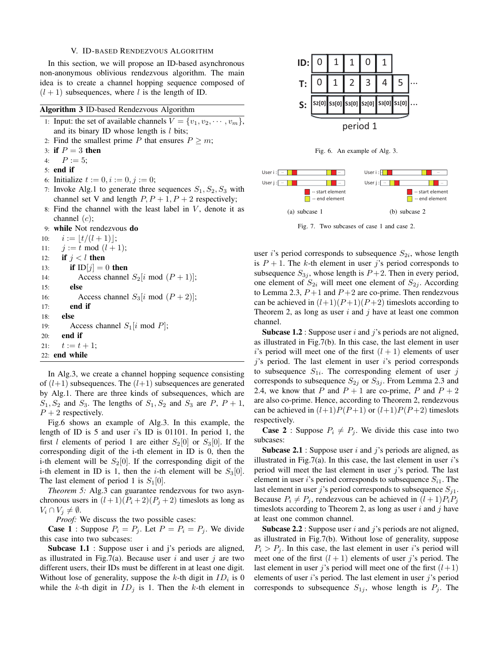### V. ID-BASED RENDEZVOUS ALGORITHM

In this section, we will propose an ID-based asynchronous non-anonymous oblivious rendezvous algorithm. The main idea is to create a channel hopping sequence composed of  $(l + 1)$  subsequences, where *l* is the length of ID.

|     | Algorithm 3 ID-based Rendezvous Algorithm                                |
|-----|--------------------------------------------------------------------------|
|     | 1: Input: the set of available channels $V = \{v_1, v_2, \dots, v_m\}$ , |
|     | and its binary ID whose length is $l$ bits;                              |
|     | 2: Find the smallest prime P that ensures $P \ge m$ ;                    |
|     | 3: if $P = 3$ then                                                       |
|     | 4: $P := 5;$                                                             |
|     | $5:$ end if                                                              |
|     | 6: Initialize $t := 0, i := 0, j := 0;$                                  |
|     | 7: Invoke Alg.1 to generate three sequences $S_1, S_2, S_3$ with         |
|     | channel set V and length $P, P+1, P+2$ respectively;                     |
|     | 8: Find the channel with the least label in $V$ , denote it as           |
|     | channel $(c)$ ;                                                          |
|     | 9: while Not rendezvous do                                               |
| 10: | $i :=  t/(l+1) ;$                                                        |
|     | 11: $j := t \mod (l + 1);$                                               |
|     | 12: if $j < l$ then                                                      |
|     | if $ID[j] = 0$ then<br>13:                                               |
| 14: | Access channel $S_2[i \mod (P+1)];$                                      |
| 15: | else                                                                     |
| 16: | Access channel $S_3[i \text{ mod } (P+2)];$                              |
| 17: | end if                                                                   |
| 18: | else                                                                     |
| 19: | Access channel $S_1[i \text{ mod } P]$ ;                                 |
| 20: | end if                                                                   |
| 21: | $t := t + 1;$                                                            |
|     | $22:$ end while                                                          |
|     |                                                                          |

In Alg.3, we create a channel hopping sequence consisting of  $(l+1)$  subsequences. The  $(l+1)$  subsequences are generated by Alg.1. There are three kinds of subsequences, which are  $S_1, S_2$  and  $S_3$ . The lengths of  $S_1, S_2$  and  $S_3$  are  $P, P + 1$ ,  $P + 2$  respectively.

Fig.6 shows an example of Alg.3. In this example, the length of ID is 5 and user *i*'s ID is 01101. In period 1, the first *l* elements of period 1 are either  $S_2[0]$  or  $S_3[0]$ . If the corresponding digit of the i-th element in ID is 0, then the i-th element will be  $S_2[0]$ . If the corresponding digit of the i-th element in ID is 1, then the *i*-th element will be  $S_3[0]$ . The last element of period 1 is  $S_1[0]$ .

*Theorem 5:* Alg.3 can guarantee rendezvous for two asynchronous users in  $(l+1)(P_i+2)(P_j+2)$  timeslots as long as *V*<sub>*i*</sub> ∩ *V*<sub>*j*</sub>  $\neq$  Ø.

*Proof:* We discuss the two possible cases:

**Case 1** : Suppose  $P_i = P_j$ . Let  $P = P_i = P_j$ . We divide this case into two subcases:

Subcase 1.1 : Suppose user i and j's periods are aligned, as illustrated in Fig.7(a). Because user *i* and user *j* are two different users, their IDs must be different in at least one digit. Without lose of generality, suppose the  $k$ -th digit in  $ID_i$  is 0 while the *k*-th digit in  $ID_j$  is 1. Then the *k*-th element in







Fig. 7. Two subcases of case 1 and case 2.

user *i*'s period corresponds to subsequence  $S_{2i}$ , whose length is  $P + 1$ . The *k*-th element in user *j*'s period corresponds to subsequence  $S_{3j}$ , whose length is  $P+2$ . Then in every period, one element of  $S_{2i}$  will meet one element of  $S_{2i}$ . According to Lemma 2.3,  $P+1$  and  $P+2$  are co-prime. Then rendezvous can be achieved in  $(l+1)(P+1)(P+2)$  timeslots according to Theorem 2, as long as user *i* and *j* have at least one common channel.

Subcase 1.2 : Suppose user *i* and *j*'s periods are not aligned, as illustrated in Fig.7(b). In this case, the last element in user *i*'s period will meet one of the first  $(l + 1)$  elements of user *j*'s period. The last element in user *i*'s period corresponds to subsequence  $S_{1i}$ . The corresponding element of user  $j$ corresponds to subsequence  $S_{2j}$  or  $S_{3j}$ . From Lemma 2.3 and 2.4, we know that *P* and  $P + 1$  are co-prime, *P* and  $P + 2$ are also co-prime. Hence, according to Theorem 2, rendezvous can be achieved in  $(l+1)P(P+1)$  or  $(l+1)P(P+2)$  timeslots respectively.

**Case 2** : Suppose  $P_i \neq P_j$ . We divide this case into two subcases:

Subcase 2.1 : Suppose user *i* and *j*'s periods are aligned, as illustrated in Fig.7(a). In this case, the last element in user *i*'s period will meet the last element in user *j*'s period. The last element in user *i*'s period corresponds to subsequence  $S_{i1}$ . The last element in user *j*'s period corresponds to subsequence  $S_{i1}$ . Because  $P_i \neq P_j$ , rendezvous can be achieved in  $(l+1)P_iP_j$ timeslots according to Theorem 2, as long as user *i* and *j* have at least one common channel.

Subcase 2.2 : Suppose user *i* and *j*'s periods are not aligned, as illustrated in Fig.7(b). Without lose of generality, suppose  $P_i > P_j$ . In this case, the last element in user *i*'s period will meet one of the first  $(l + 1)$  elements of user *j*'s period. The last element in user *j*'s period will meet one of the first  $(l+1)$ elements of user *i*'s period. The last element in user *j*'s period corresponds to subsequence  $S_{1j}$ , whose length is  $P_j$ . The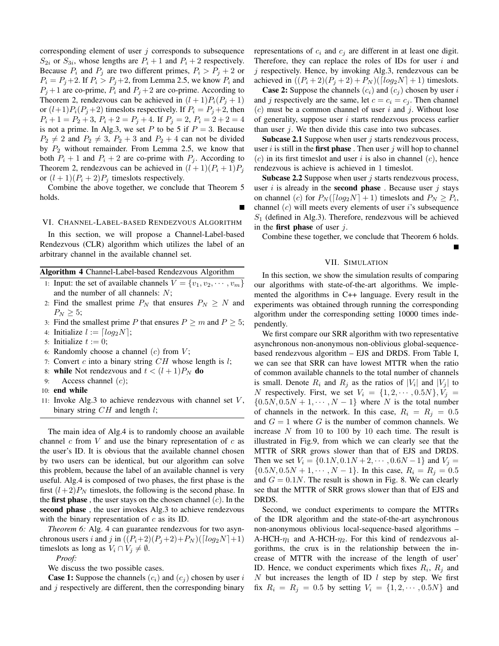corresponding element of user *j* corresponds to subsequence  $S_{2i}$  or  $S_{3i}$ , whose lengths are  $P_i + 1$  and  $P_i + 2$  respectively. Because  $P_i$  and  $P_j$  are two different primes,  $P_i > P_j + 2$  or  $P_i = P_j + 2$ . If  $P_i > P_j + 2$ , from Lemma 2.5, we know  $P_i$  and  $P_j + 1$  are co-prime,  $P_i$  and  $P_j + 2$  are co-prime. According to Theorem 2, rendezvous can be achieved in  $(l+1)P_i(P_i+1)$ or  $(l+1)P_i(P_j+2)$  timeslots respectively. If  $P_i = P_j+2$ , then  $P_i + 1 = P_2 + 3$ ,  $P_i + 2 = P_j + 4$ . If  $P_j = 2$ ,  $P_i = 2 + 2 = 4$ is not a prime. In Alg.3, we set  $P$  to be 5 if  $P = 3$ . Because  $P_2 \neq 2$  and  $P_2 \neq 3$ ,  $P_2 + 3$  and  $P_2 + 4$  can not be divided by *P*<sup>2</sup> without remainder. From Lemma 2.5, we know that both  $P_i + 1$  and  $P_i + 2$  are co-prime with  $P_i$ . According to Theorem 2, rendezvous can be achieved in  $(l+1)(P_i+1)P_j$ or  $(l + 1)(P_i + 2)P_j$  timeslots respectively.

Combine the above together, we conclude that Theorem 5 holds.

## VI. CHANNEL-LABEL-BASED RENDEZVOUS ALGORITHM

Г

In this section, we will propose a Channel-Label-based Rendezvous (CLR) algorithm which utilizes the label of an arbitrary channel in the available channel set.

## Algorithm 4 Channel-Label-based Rendezvous Algorithm

- 1: Input: the set of available channels  $V = \{v_1, v_2, \dots, v_m\}$ and the number of all channels: *N*;
- 2: Find the smallest prime  $P_N$  that ensures  $P_N \geq N$  and  $P_N \geq 5$ ;

3: Find the smallest prime *P* that ensures  $P \ge m$  and  $P \ge 5$ ;

- 4: Initialize  $l := \lfloor log_2 N \rfloor$ ;
- 5: Initialize  $t := 0$ ;
- 6: Randomly choose a channel (*c*) from *V* ;
- 7: Convert *c* into a binary string *CH* whose length is *l*;
- 8: while Not rendezvous and  $t < (l+1)P_N$  do
- 9: Access channel (*c*);
- 10: end while
- 11: Invoke Alg.3 to achieve rendezvous with channel set *V* , binary string *CH* and length *l*;

The main idea of Alg.4 is to randomly choose an available channel *c* from *V* and use the binary representation of *c* as the user's ID. It is obvious that the available channel chosen by two users can be identical, but our algorithm can solve this problem, because the label of an available channel is very useful. Alg.4 is composed of two phases, the first phase is the first  $(l+2)P_N$  timeslots, the following is the second phase. In the first phase , the user stays on the chosen channel (*c*). In the second phase, the user invokes Alg.3 to achieve rendezvous with the binary representation of *c* as its ID.

*Theorem 6:* Alg. 4 can guarantee rendezvous for two asynchronous users *i* and *j* in  $((P_i+2)(P_i+2)+P_N)([log_2 N]+1)$ timeslots as long as  $V_i \cap V_j \neq \emptyset$ .

*Proof:*

We discuss the two possible cases.

**Case 1:** Suppose the channels  $(c_i)$  and  $(c_j)$  chosen by user *i* and *j* respectively are different, then the corresponding binary representations of  $c_i$  and  $c_j$  are different in at least one digit. Therefore, they can replace the roles of IDs for user *i* and *j* respectively. Hence, by invoking Alg.3, rendezvous can be achieved in  $((P_i + 2)(P_j + 2) + P_N)([log_2 N] + 1)$  timeslots.

**Case 2:** Suppose the channels  $(c_i)$  and  $(c_j)$  chosen by user *i* and *j* respectively are the same, let  $c = c_i = c_j$ . Then channel (*c*) must be a common channel of user *i* and *j*. Without lose of generality, suppose user *i* starts rendezvous process earlier than user *j*. We then divide this case into two subcases.

Subcase 2.1 Suppose when user *j* starts rendezvous process, user *i* is still in the first phase . Then user *j* will hop to channel (*c*) in its first timeslot and user *i* is also in channel (*c*), hence rendezvous is achieve is achieved in 1 timeslot.

Subcase 2.2 Suppose when user *j* starts rendezvous process, user  $i$  is already in the **second phase** . Because user  $j$  stays on channel (*c*) for  $P_N(\lceil log_2N \rceil + 1)$  timeslots and  $P_N \ge P_i$ , channel (*c*) will meets every elements of user *i*'s subsequence *S*<sup>1</sup> (defined in Alg.3). Therefore, rendezvous will be achieved in the first phase of user *j*.

Combine these together, we conclude that Theorem 6 holds.

#### VII. SIMULATION

In this section, we show the simulation results of comparing our algorithms with state-of-the-art algorithms. We implemented the algorithms in C++ language. Every result in the experiments was obtained through running the corresponding algorithm under the corresponding setting 10000 times independently.

We first compare our SRR algorithm with two representative asynchronous non-anonymous non-oblivious global-sequencebased rendezvous algorithm – EJS and DRDS. From Table I, we can see that SRR can have lowest MTTR when the ratio of common available channels to the total number of channels is small. Denote  $R_i$  and  $R_j$  as the ratios of  $|V_i|$  and  $|V_j|$  to *N* respectively. First, we set  $V_i = \{1, 2, \dots, 0.5N\}, V_j =$  $\{0.5N, 0.5N + 1, \cdots, N - 1\}$  where *N* is the total number of channels in the network. In this case,  $R_i = R_j = 0.5$ and  $G = 1$  where  $G$  is the number of common channels. We increase *N* from 10 to 100 by 10 each time. The result is illustrated in Fig.9, from which we can clearly see that the MTTR of SRR grows slower than that of EJS and DRDS. Then we set  $V_i = \{0.1N, 0.1N + 2, \dots, 0.6N - 1\}$  and  $V_j =$  $\{0.5N, 0.5N + 1, \cdots, N - 1\}$ . In this case,  $R_i = R_j = 0.5$ and  $G = 0.1N$ . The result is shown in Fig. 8. We can clearly see that the MTTR of SRR grows slower than that of EJS and DRDS.

Second, we conduct experiments to compare the MTTRs of the IDR algorithm and the state-of-the-art asynchronous non-anonymous oblivious local-sequence-based algorithms – A-HCH- $\eta_1$  and A-HCH- $\eta_2$ . For this kind of rendezvous algorithms, the crux is in the relationship between the increase of MTTR with the increase of the length of user' ID. Hence, we conduct experiments which fixes  $R_i$ ,  $R_j$  and *N* but increases the length of ID *l* step by step. We first fix  $R_i = R_j = 0.5$  by setting  $V_i = \{1, 2, \dots, 0.5N\}$  and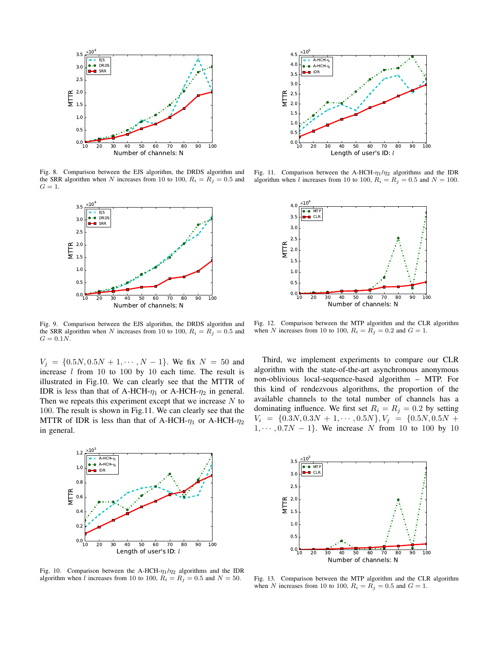

Fig. 8. Comparison between the EJS algorithm, the DRDS algorithm and the SRR algorithm when *N* increases from 10 to 100,  $R_i = R_j = 0.5$  and  $G = 1$ .



Fig. 9. Comparison between the EJS algorithm, the DRDS algorithm and the SRR algorithm when *N* increases from 10 to 100,  $R_i = R_j = 0.5$  and  $G = 0.1N$ .

 $V_j = \{0.5N, 0.5N + 1, \cdots, N - 1\}$ . We fix  $N = 50$  and increase *l* from 10 to 100 by 10 each time. The result is illustrated in Fig.10. We can clearly see that the MTTR of IDR is less than that of A-HCH- $\eta_1$  or A-HCH- $\eta_2$  in general. Then we repeats this experiment except that we increase *N* to 100. The result is shown in Fig.11. We can clearly see that the MTTR of IDR is less than that of A-HCH-*η*<sup>1</sup> or A-HCH-*η*<sup>2</sup> in general.



Fig. 10. Comparison between the A-HCH- $\eta_1/\eta_2$  algorithms and the IDR algorithm when *l* increases from 10 to 100,  $R_i = R_j = 0.5$  and  $N = 50$ .



Fig. 11. Comparison between the A-HCH-*η*1/*η*<sup>2</sup> algorithms and the IDR algorithm when *l* increases from 10 to 100,  $R_i = R_j = 0.5$  and  $N = 100$ .



Fig. 12. Comparison between the MTP algorithm and the CLR algorithm when *N* increases from 10 to 100,  $R_i = R_j = 0.2$  and  $G = 1$ .

Third, we implement experiments to compare our CLR algorithm with the state-of-the-art asynchronous anonymous non-oblivious local-sequence-based algorithm – MTP. For this kind of rendezvous algorithms, the proportion of the available channels to the total number of channels has a dominating influence. We first set  $R_i = R_j = 0.2$  by setting  $V_i = \{0.3N, 0.3N + 1, \cdots, 0.5N\}, V_j = \{0.5N, 0.5N + 1, \cdots, 0.5N\}$ 1*, · · · ,* 0*.*7*N −* 1*}*. We increase *N* from 10 to 100 by 10



Fig. 13. Comparison between the MTP algorithm and the CLR algorithm when *N* increases from 10 to 100,  $R_i = R_j = 0.5$  and  $G = 1$ .